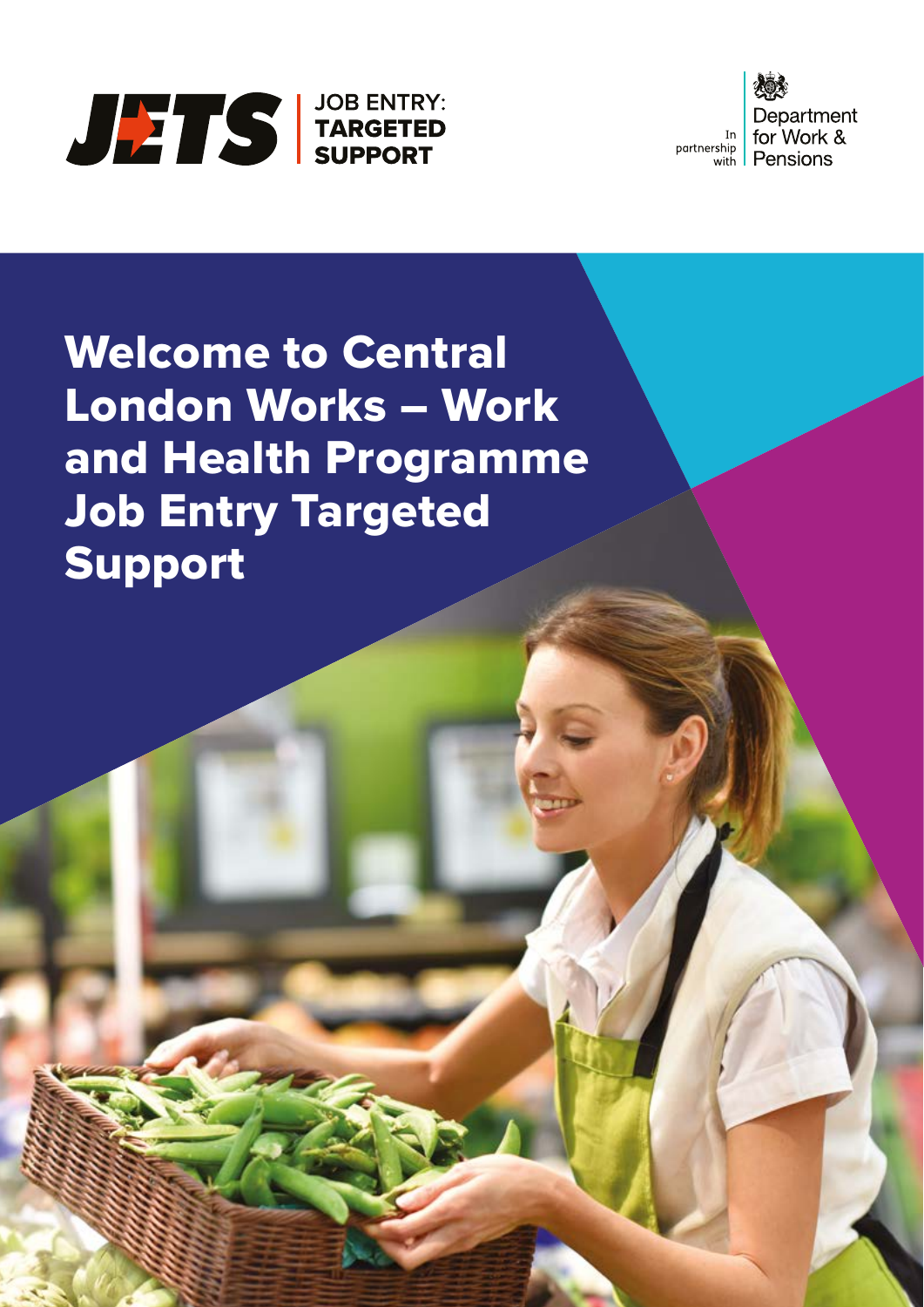



## Welcome to Central London Works – Work and Health Programme Job Entry Targeted Support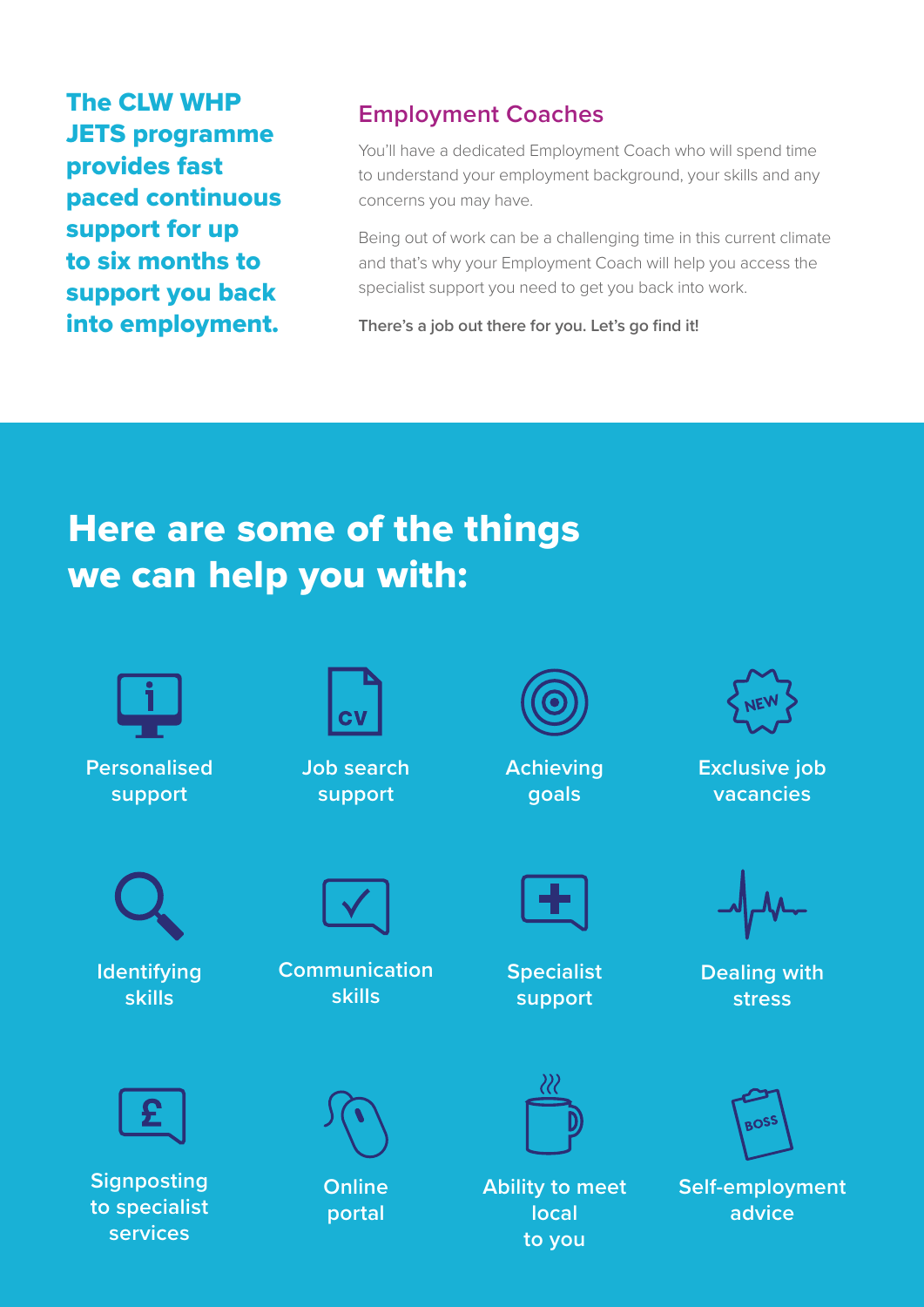The CLW WHP JETS programme provides fast paced continuous support for up to six months to support you back into employment.

#### **Employment Coaches**

You'll have a dedicated Employment Coach who will spend time to understand your employment background, your skills and any concerns you may have.

Being out of work can be a challenging time in this current climate and that's why your Employment Coach will help you access the specialist support you need to get you back into work.

**There's a job out there for you. Let's go find it!**

## Here are some of the things we can help you with:

|                                                        | <b>CV</b>                             |                                                  | <b>JEY</b>                           |
|--------------------------------------------------------|---------------------------------------|--------------------------------------------------|--------------------------------------|
| <b>Personalised</b><br>support                         | <b>Job search</b><br>support          | <b>Achieving</b><br>goals                        | <b>Exclusive job</b><br>vacancies    |
|                                                        |                                       |                                                  |                                      |
| <b>Identifying</b><br><b>skills</b>                    | <b>Communication</b><br><b>skills</b> | <b>Specialist</b><br>support                     | <b>Dealing with</b><br><b>stress</b> |
|                                                        |                                       |                                                  | <b>BOSS</b>                          |
| <b>Signposting</b><br>to specialist<br><b>services</b> | <b>Online</b><br>portal               | <b>Ability to meet</b><br><b>local</b><br>to you | Self-employment<br>advice            |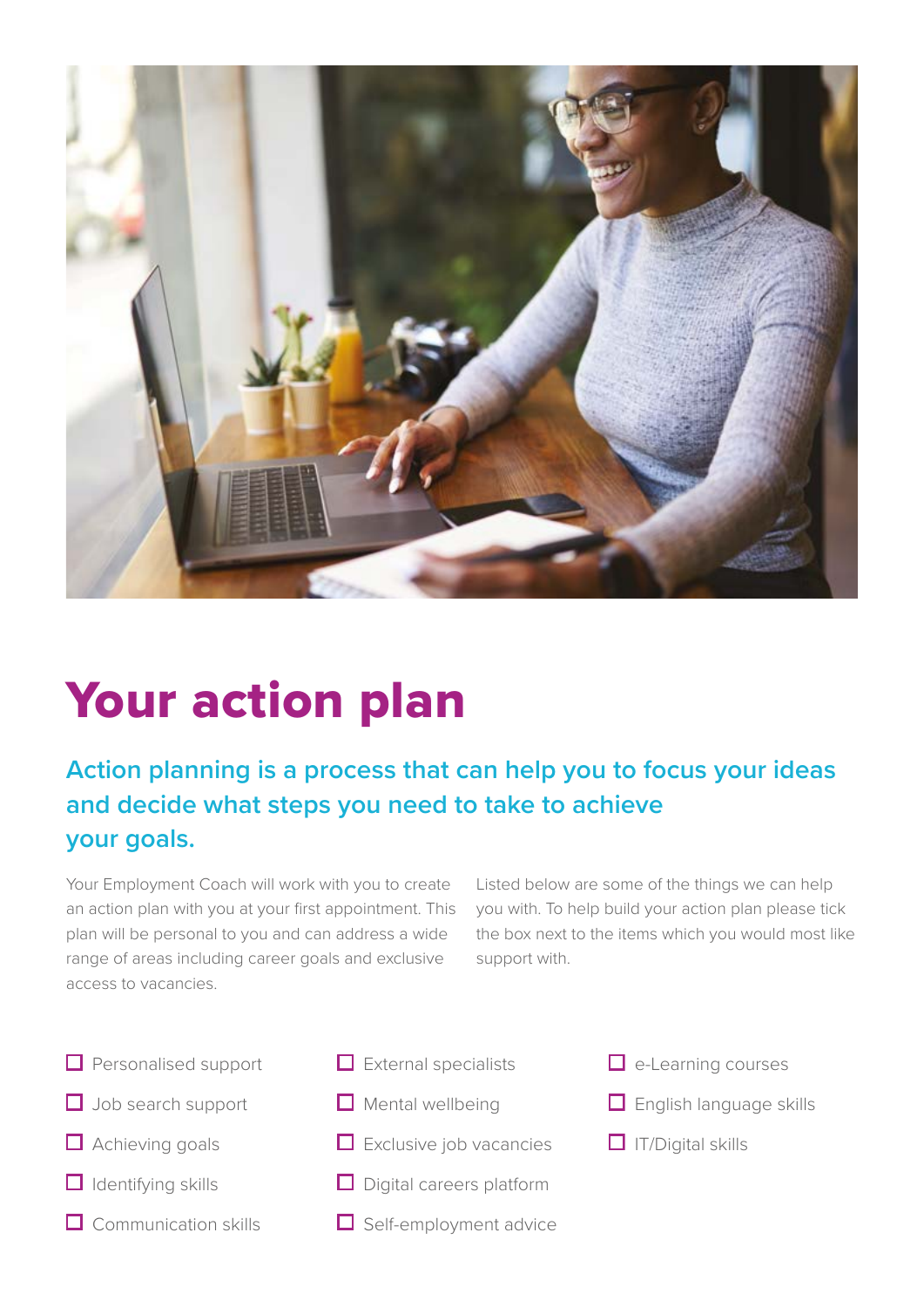

## Your action plan

### **Action planning is a process that can help you to focus your ideas and decide what steps you need to take to achieve your goals.**

Your Employment Coach will work with you to create an action plan with you at your first appointment. This plan will be personal to you and can address a wide range of areas including career goals and exclusive access to vacancies.

Listed below are some of the things we can help you with. To help build your action plan please tick the box next to the items which you would most like support with.

- **Personalised support**
- **Job search support**
- Achieving goals
- $\Box$  Identifying skills
- $\Box$  Communication skills
- $\Box$  External specialists
- $\Box$  Mental wellbeing
- $\Box$  Exclusive job vacancies
- D Digital careers platform
- $\Box$  Self-employment advice
- $\Box$  e-Learning courses
- **English language skills**
- $\Box$  IT/Digital skills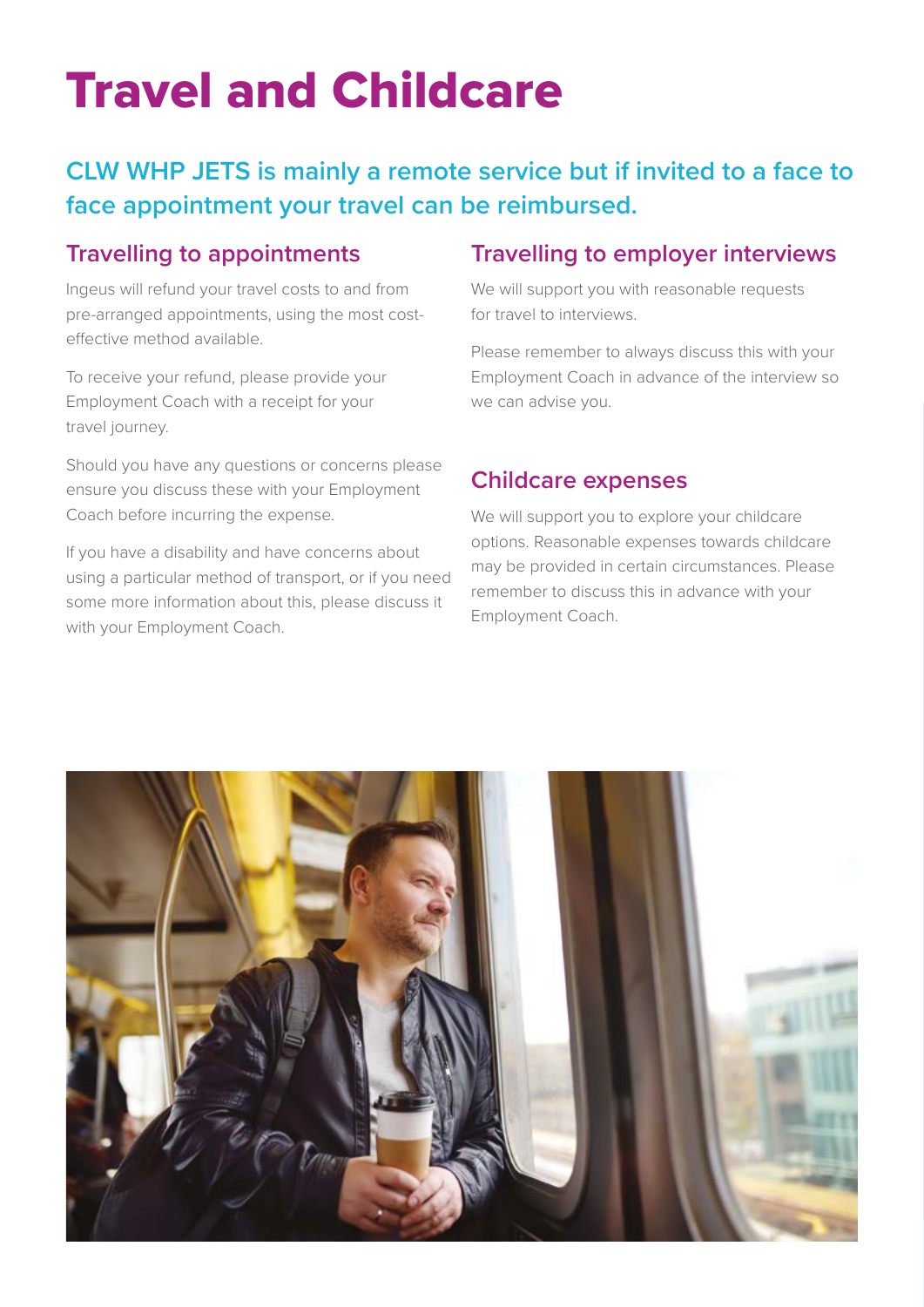## Travel and Childcare

## **CLW WHP JETS is mainly a remote service but if invited to a face to face appointment your travel can be reimbursed.**

### **Travelling to appointments**

Ingeus will refund your travel costs to and from pre-arranged appointments, using the most costeffective method available.

To receive your refund, please provide your Employment Coach with a receipt for your travel journey.

Should you have any questions or concerns please ensure you discuss these with your Employment Coach before incurring the expense.

If you have a disability and have concerns about using a particular method of transport, or if you need some more information about this, please discuss it with your Employment Coach.

### **Travelling to employer interviews**

We will support you with reasonable requests for travel to interviews.

Please remember to always discuss this with your Employment Coach in advance of the interview so we can advise you.

#### **Childcare expenses**

We will support you to explore your childcare options. Reasonable expenses towards childcare may be provided in certain circumstances. Please remember to discuss this in advance with your Employment Coach.

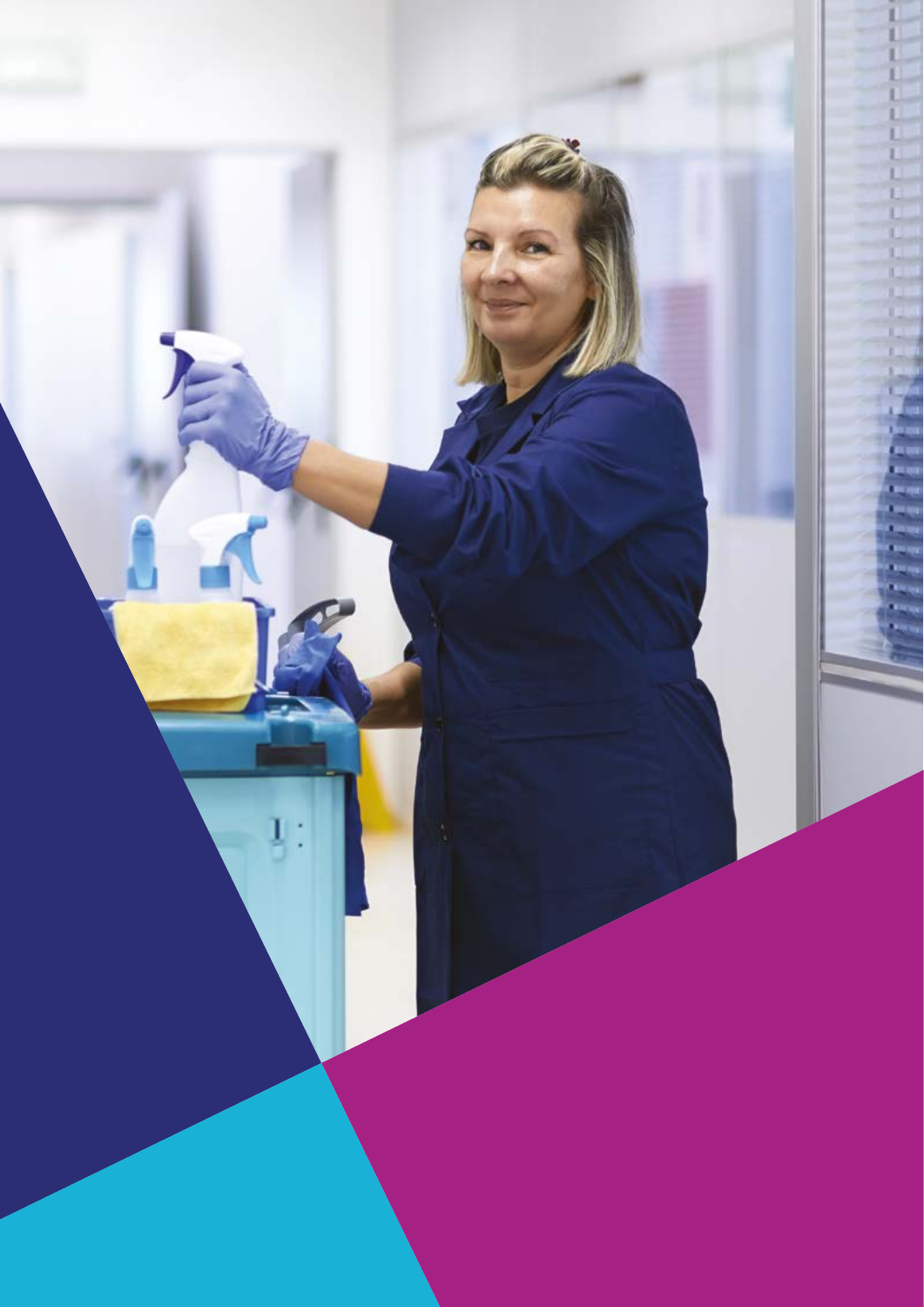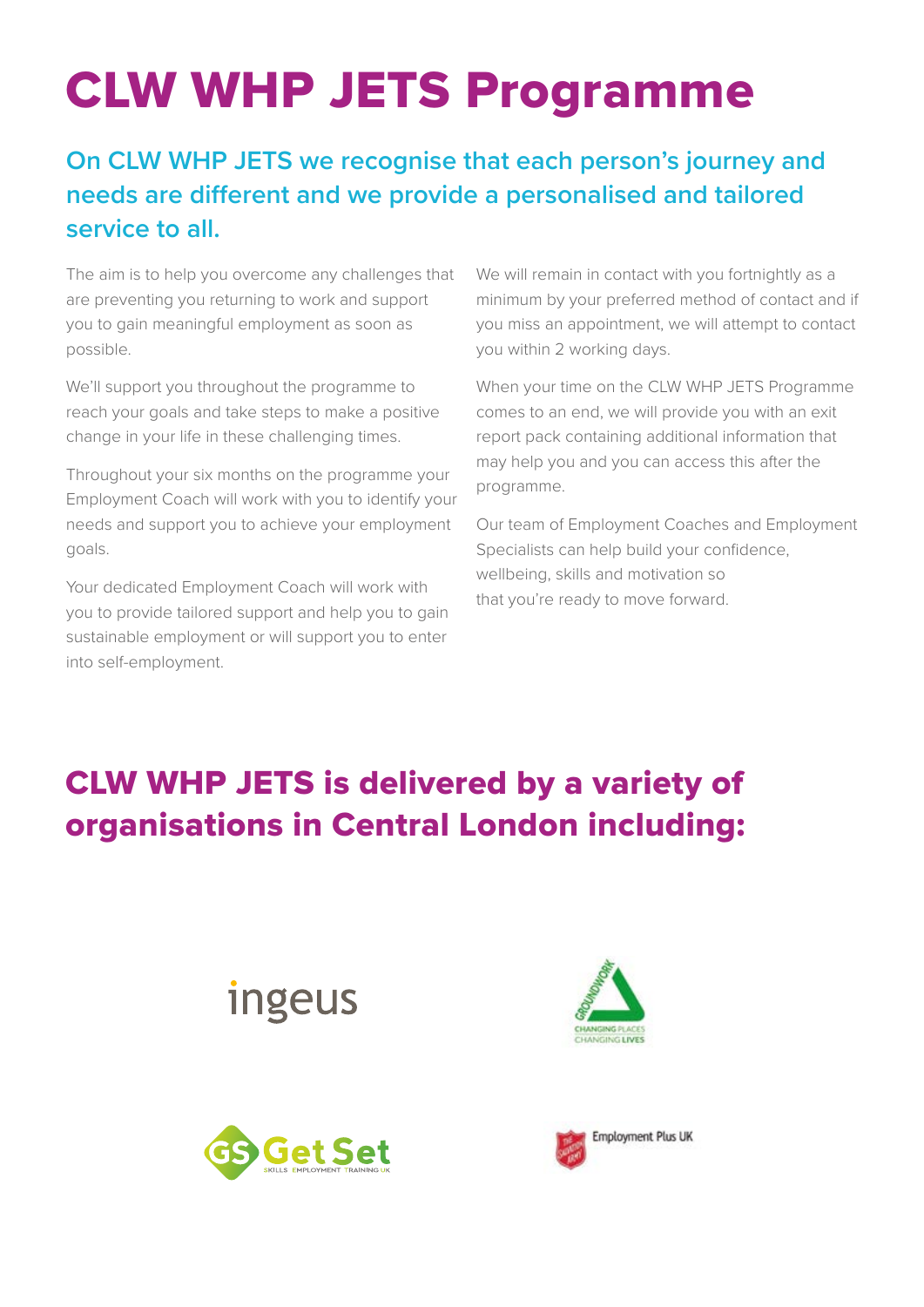## CLW WHP JETS Programme

### **On CLW WHP JETS we recognise that each person's journey and needs are different and we provide a personalised and tailored service to all.**

The aim is to help you overcome any challenges that are preventing you returning to work and support you to gain meaningful employment as soon as possible.

We'll support you throughout the programme to reach your goals and take steps to make a positive change in your life in these challenging times.

Throughout your six months on the programme your Employment Coach will work with you to identify your needs and support you to achieve your employment goals.

Your dedicated Employment Coach will work with you to provide tailored support and help you to gain sustainable employment or will support you to enter into self-employment.

We will remain in contact with you fortnightly as a minimum by your preferred method of contact and if you miss an appointment, we will attempt to contact you within 2 working days.

When your time on the CLW WHP JETS Programme comes to an end, we will provide you with an exit report pack containing additional information that may help you and you can access this after the programme.

Our team of Employment Coaches and Employment Specialists can help build your confidence, wellbeing, skills and motivation so that you're ready to move forward.

## CLW WHP JETS is delivered by a variety of organisations in Central London including:

ingeus







**Employment Plus UK**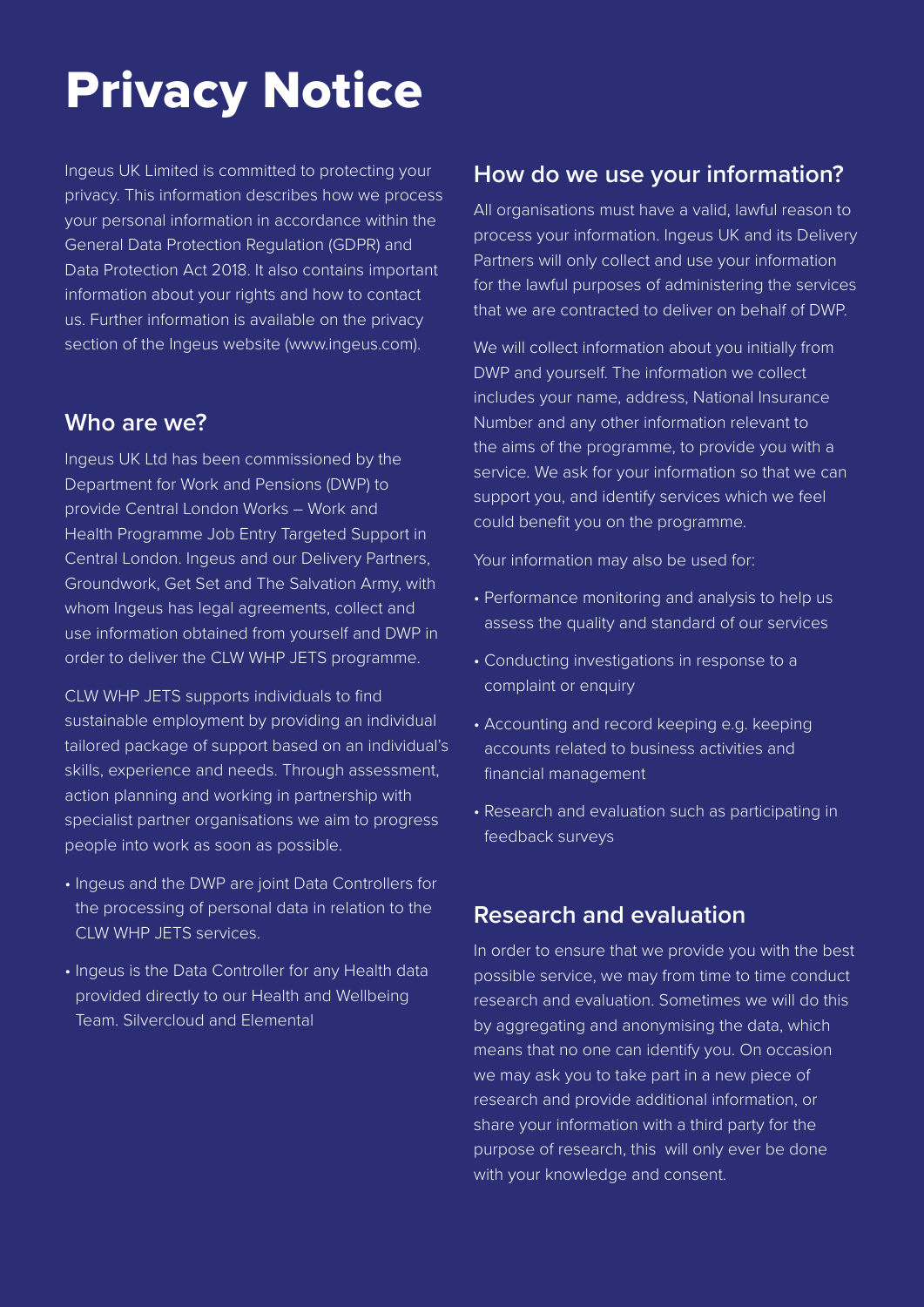# Privacy Notice

Ingeus UK Limited is committed to protecting your privacy. This information describes how we process your personal information in accordance within the General Data Protection Regulation (GDPR) and Data Protection Act 2018. It also contains important information about your rights and how to contact us. Further information is available on the privacy section of the Ingeus website (www.ingeus.com).

#### **Who are we?**

Ingeus UK Ltd has been commissioned by the Department for Work and Pensions (DWP) to provide Central London Works – Work and Health Programme Job Entry Targeted Support in Central London. Ingeus and our Delivery Partners, Groundwork, Get Set and The Salvation Army, with whom Ingeus has legal agreements, collect and use information obtained from yourself and DWP in order to deliver the CLW WHP JETS programme.

CLW WHP JETS supports individuals to find sustainable employment by providing an individual tailored package of support based on an individual's skills, experience and needs. Through assessment, action planning and working in partnership with specialist partner organisations we aim to progress people into work as soon as possible.

- Ingeus and the DWP are joint Data Controllers for the processing of personal data in relation to the CLW WHP JETS services.
- Ingeus is the Data Controller for any Health data provided directly to our Health and Wellbeing Team. Silvercloud and Elemental

#### **How do we use your information?**

All organisations must have a valid, lawful reason to process your information. Ingeus UK and its Delivery Partners will only collect and use your information for the lawful purposes of administering the services that we are contracted to deliver on behalf of DWP.

We will collect information about you initially from DWP and yourself. The information we collect includes your name, address, National Insurance Number and any other information relevant to the aims of the programme, to provide you with a service. We ask for your information so that we can support you, and identify services which we feel could benefit you on the programme.

Your information may also be used for:

- Performance monitoring and analysis to help us assess the quality and standard of our services
- Conducting investigations in response to a complaint or enquiry
- Accounting and record keeping e.g. keeping accounts related to business activities and financial management
- Research and evaluation such as participating in feedback surveys

#### **Research and evaluation**

In order to ensure that we provide you with the best possible service, we may from time to time conduct research and evaluation. Sometimes we will do this by aggregating and anonymising the data, which means that no one can identify you. On occasion we may ask you to take part in a new piece of research and provide additional information, or share your information with a third party for the purpose of research, this will only ever be done with your knowledge and consent.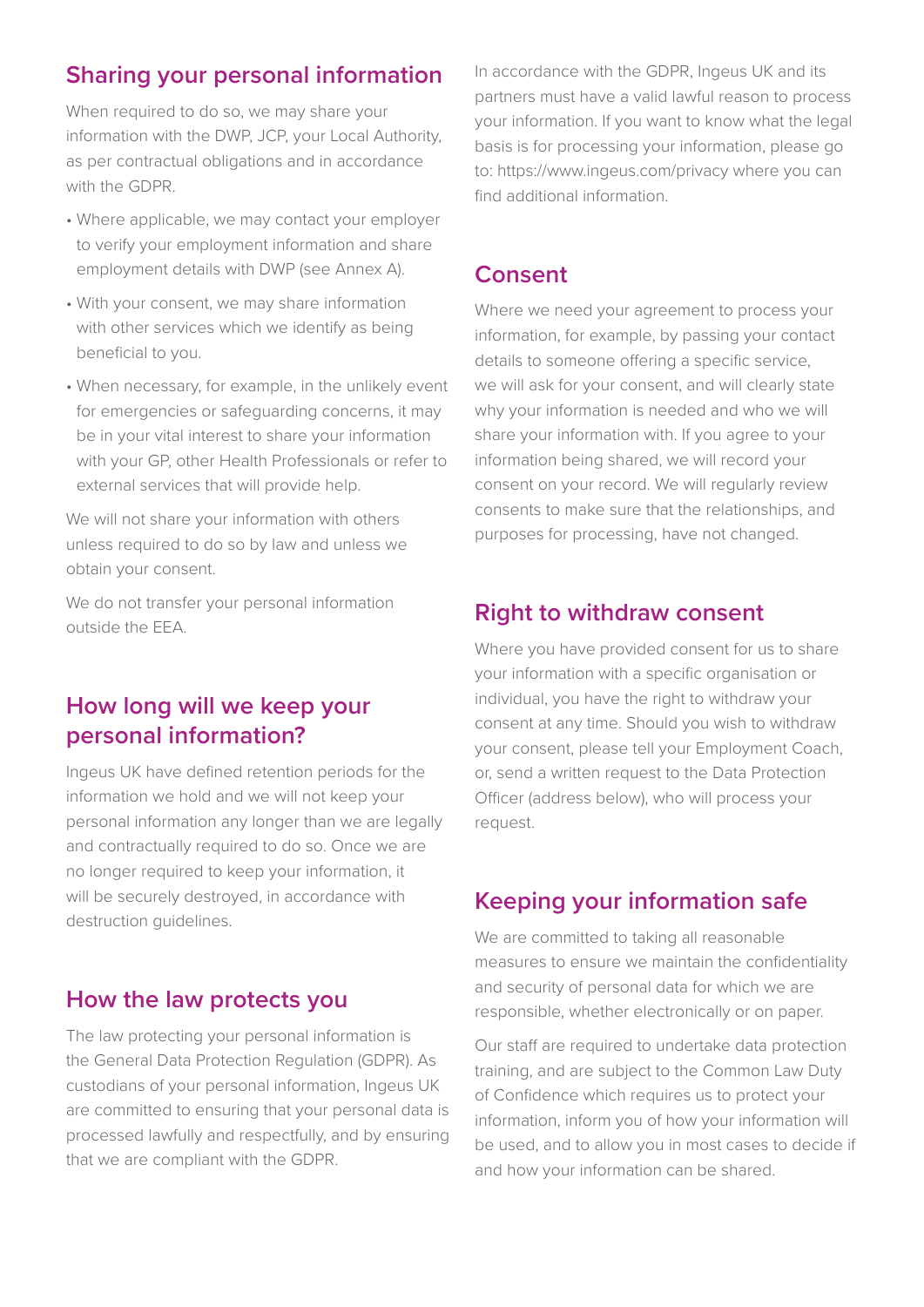### **Sharing your personal information**

When required to do so, we may share your information with the DWP, JCP, your Local Authority, as per contractual obligations and in accordance with the GDPR.

- Where applicable, we may contact your employer to verify your employment information and share employment details with DWP (see Annex A).
- With your consent, we may share information with other services which we identify as being beneficial to you.
- When necessary, for example, in the unlikely event for emergencies or safeguarding concerns, it may be in your vital interest to share your information with your GP, other Health Professionals or refer to external services that will provide help.

We will not share your information with others unless required to do so by law and unless we obtain your consent.

We do not transfer your personal information outside the EEA.

#### **How long will we keep your personal information?**

Ingeus UK have defined retention periods for the information we hold and we will not keep your personal information any longer than we are legally and contractually required to do so. Once we are no longer required to keep your information, it will be securely destroyed, in accordance with destruction guidelines.

### **How the law protects you**

The law protecting your personal information is the General Data Protection Regulation (GDPR). As custodians of your personal information, Ingeus UK are committed to ensuring that your personal data is processed lawfully and respectfully, and by ensuring that we are compliant with the GDPR.

In accordance with the GDPR, Ingeus UK and its partners must have a valid lawful reason to process your information. If you want to know what the legal basis is for processing your information, please go to: https://www.ingeus.com/privacy where you can find additional information.

#### **Consent**

Where we need your agreement to process your information, for example, by passing your contact details to someone offering a specific service, we will ask for your consent, and will clearly state why your information is needed and who we will share your information with. If you agree to your information being shared, we will record your consent on your record. We will regularly review consents to make sure that the relationships, and purposes for processing, have not changed.

#### **Right to withdraw consent**

Where you have provided consent for us to share your information with a specific organisation or individual, you have the right to withdraw your consent at any time. Should you wish to withdraw your consent, please tell your Employment Coach, or, send a written request to the Data Protection Officer (address below), who will process your request.

### **Keeping your information safe**

We are committed to taking all reasonable measures to ensure we maintain the confidentiality and security of personal data for which we are responsible, whether electronically or on paper.

Our staff are required to undertake data protection training, and are subject to the Common Law Duty of Confidence which requires us to protect your information, inform you of how your information will be used, and to allow you in most cases to decide if and how your information can be shared.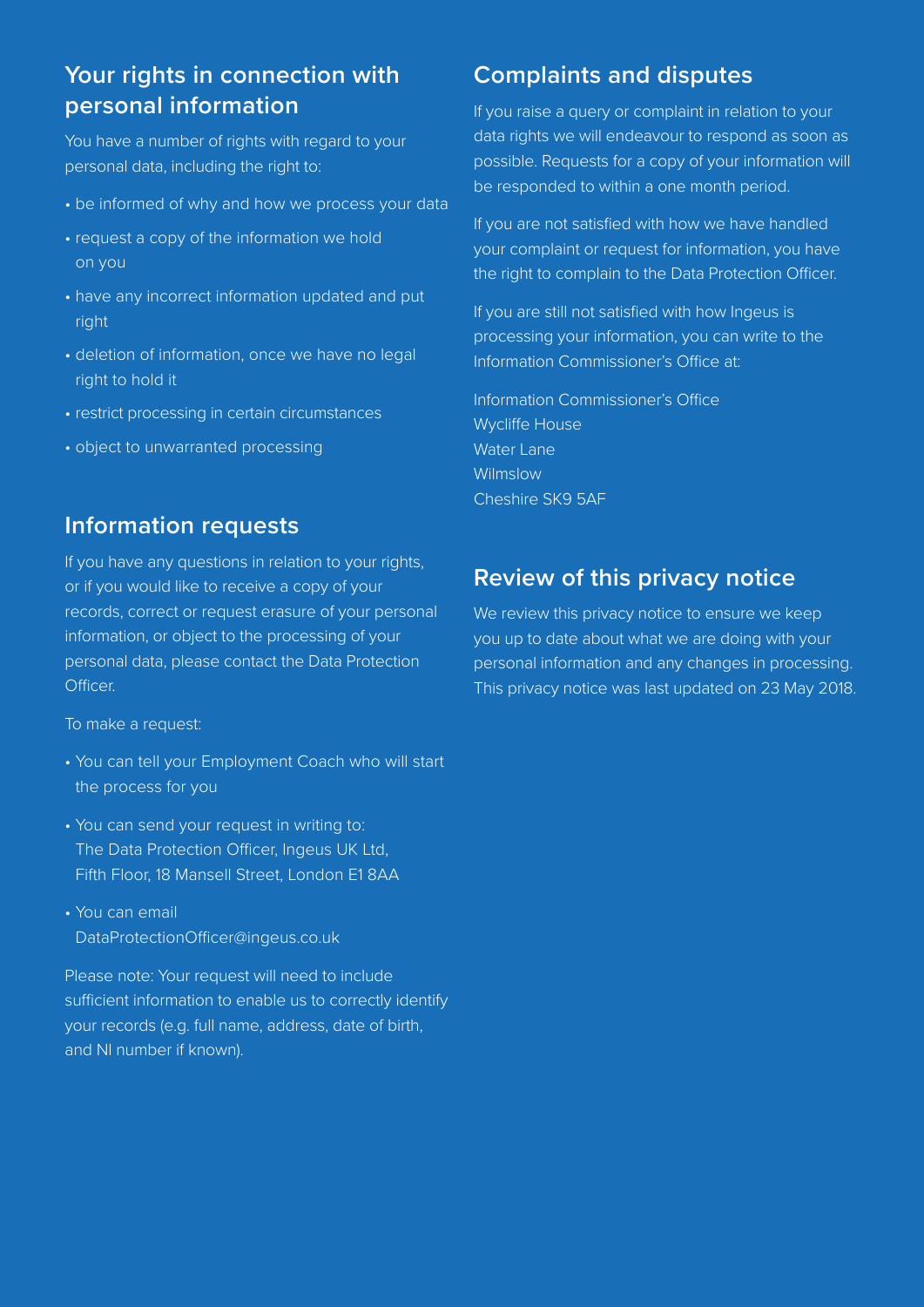#### **Your rights in connection with personal information**

You have a number of rights with regard to your personal data, including the right to:

- be informed of why and how we process your data
- request a copy of the information we hold on you
- have any incorrect information updated and put right
- deletion of information, once we have no legal right to hold it
- restrict processing in certain circumstances
- object to unwarranted processing

#### **Information requests**

If you have any questions in relation to your rights, or if you would like to receive a copy of your records, correct or request erasure of your personal information, or object to the processing of your personal data, please contact the Data Protection Officer.

To make a request:

- You can tell your Employment Coach who will start the process for you
- You can send your request in writing to: The Data Protection Officer, Ingeus UK Ltd, Fifth Floor, 18 Mansell Street, London E1 8AA
- You can email DataProtectionOfficer@ingeus.co.uk

Please note: Your request will need to include sufficient information to enable us to correctly identify your records (e.g. full name, address, date of birth, and NI number if known).

### **Complaints and disputes**

If you raise a query or complaint in relation to your data rights we will endeavour to respond as soon as possible. Requests for a copy of your information will be responded to within a one month period.

If you are not satisfied with how we have handled your complaint or request for information, you have the right to complain to the Data Protection Officer.

If you are still not satisfied with how Ingeus is processing your information, you can write to the Information Commissioner's Office at:

Information Commissioner's Office Wycliffe House Water Lane **Wilmslow** Cheshire SK9 5AF

### **Review of this privacy notice**

We review this privacy notice to ensure we keep you up to date about what we are doing with your personal information and any changes in processing. This privacy notice was last updated on 23 May 2018.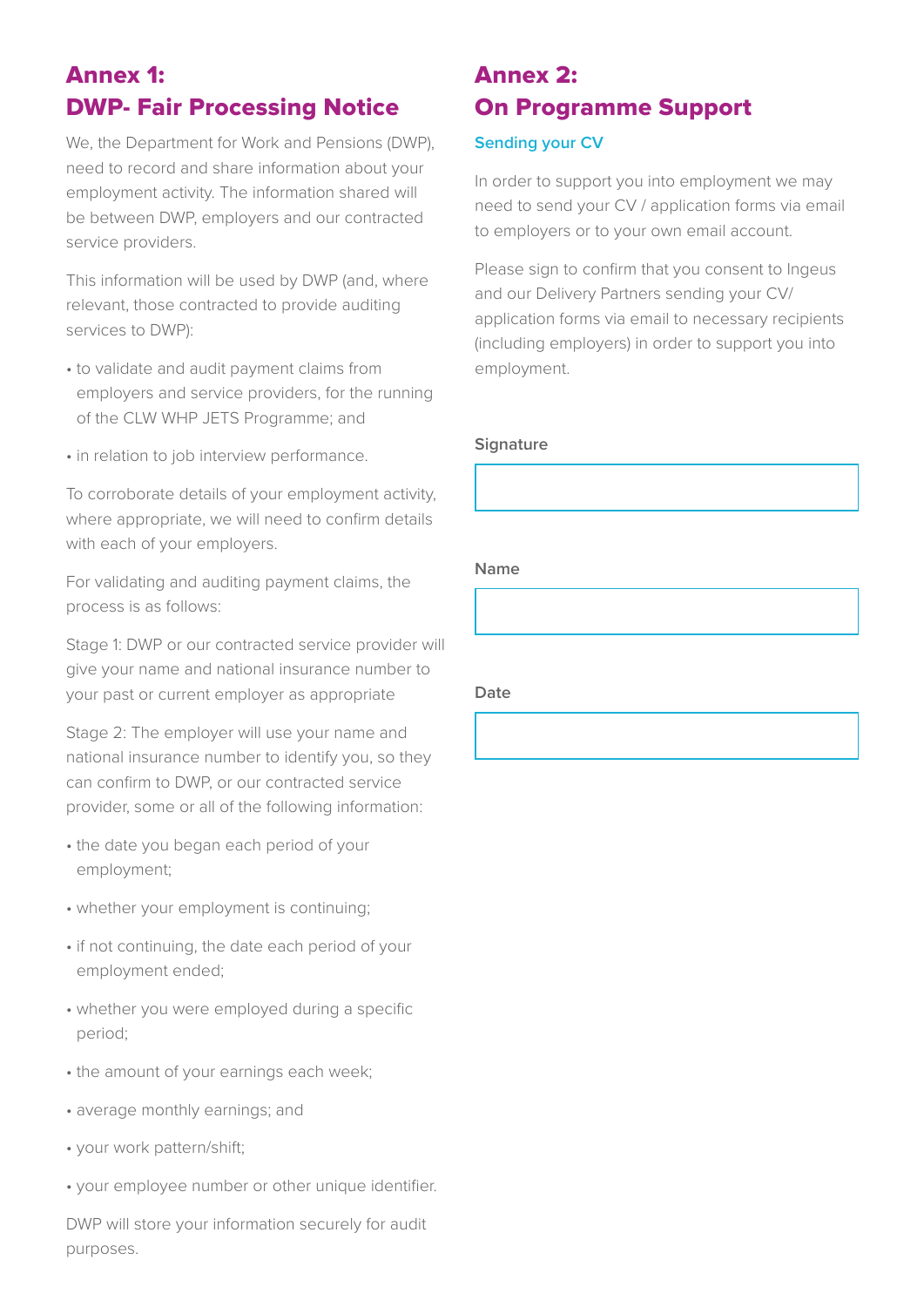### Annex 1: DWP- Fair Processing Notice

We, the Department for Work and Pensions (DWP), need to record and share information about your employment activity. The information shared will be between DWP, employers and our contracted service providers.

This information will be used by DWP (and, where relevant, those contracted to provide auditing services to DWP):

- to validate and audit payment claims from employers and service providers, for the running of the CLW WHP JETS Programme; and
- in relation to job interview performance.

To corroborate details of your employment activity, where appropriate, we will need to confirm details with each of your employers.

For validating and auditing payment claims, the process is as follows:

Stage 1: DWP or our contracted service provider will give your name and national insurance number to your past or current employer as appropriate

Stage 2: The employer will use your name and national insurance number to identify you, so they can confirm to DWP, or our contracted service provider, some or all of the following information:

- the date you began each period of your employment;
- whether your employment is continuing;
- if not continuing, the date each period of your employment ended;
- whether you were employed during a specific period;
- the amount of your earnings each week;
- average monthly earnings; and
- your work pattern/shift;
- your employee number or other unique identifier.

DWP will store your information securely for audit purposes.

### Annex 2: On Programme Support

#### **Sending your CV**

In order to support you into employment we may need to send your CV / application forms via email to employers or to your own email account.

Please sign to confirm that you consent to Ingeus and our Delivery Partners sending your CV/ application forms via email to necessary recipients (including employers) in order to support you into employment.

#### **Signature**

**Name**

**Date**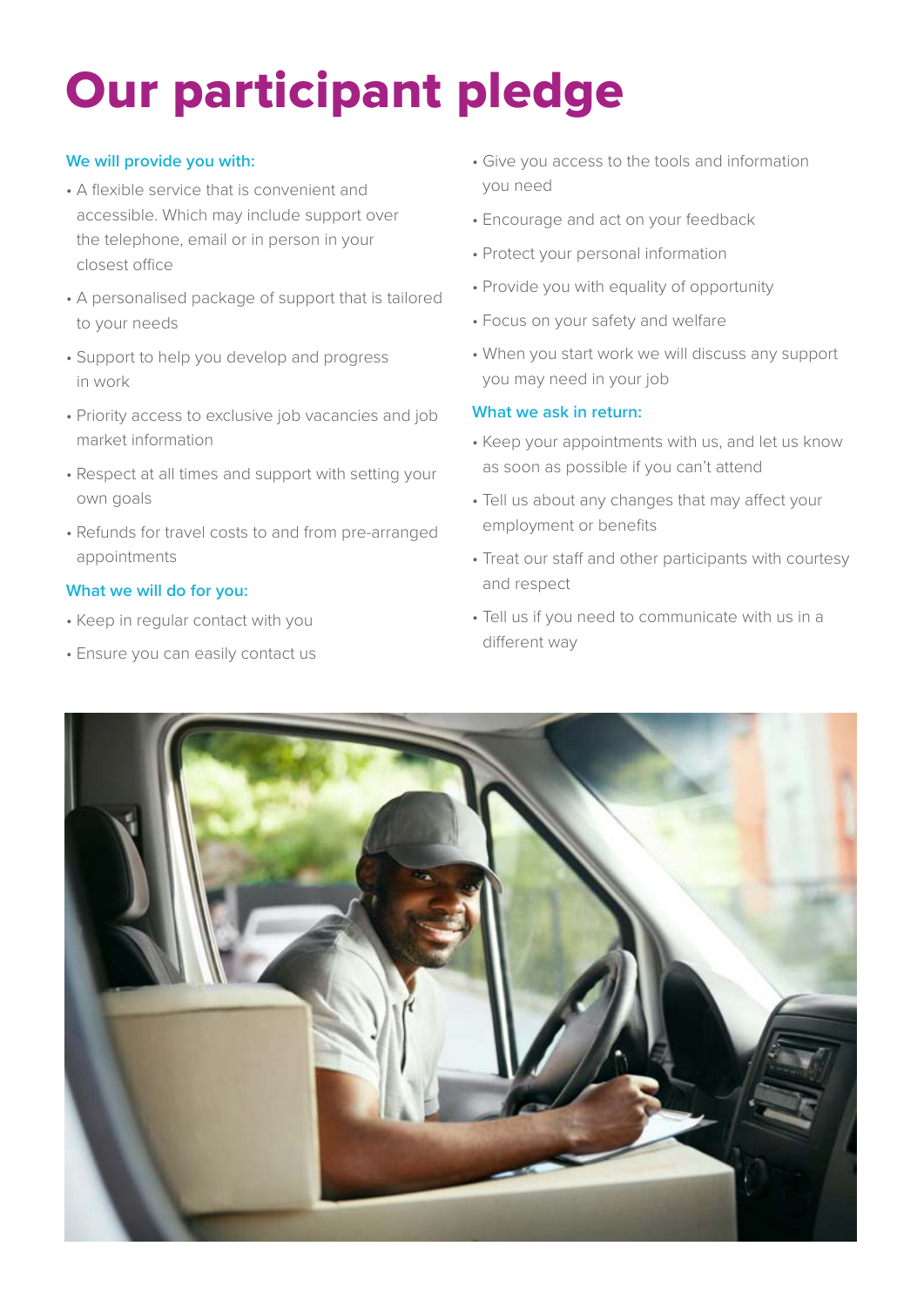# Our participant pledge

#### **We will provide you with:**

- A flexible service that is convenient and accessible. Which may include support over the telephone, email or in person in your closest office
- A personalised package of support that is tailored to your needs
- Support to help you develop and progress in work
- Priority access to exclusive job vacancies and job market information
- Respect at all times and support with setting your own goals
- Refunds for travel costs to and from pre-arranged appointments

#### **What we will do for you:**

- Keep in regular contact with you
- Ensure you can easily contact us
- Give you access to the tools and information you need
- Encourage and act on your feedback
- Protect your personal information
- Provide you with equality of opportunity
- Focus on your safety and welfare
- When you start work we will discuss any support you may need in your job

#### **What we ask in return:**

- Keep your appointments with us, and let us know as soon as possible if you can't attend
- Tell us about any changes that may affect your employment or benefits
- Treat our staff and other participants with courtesy and respect
- Tell us if you need to communicate with us in a different way

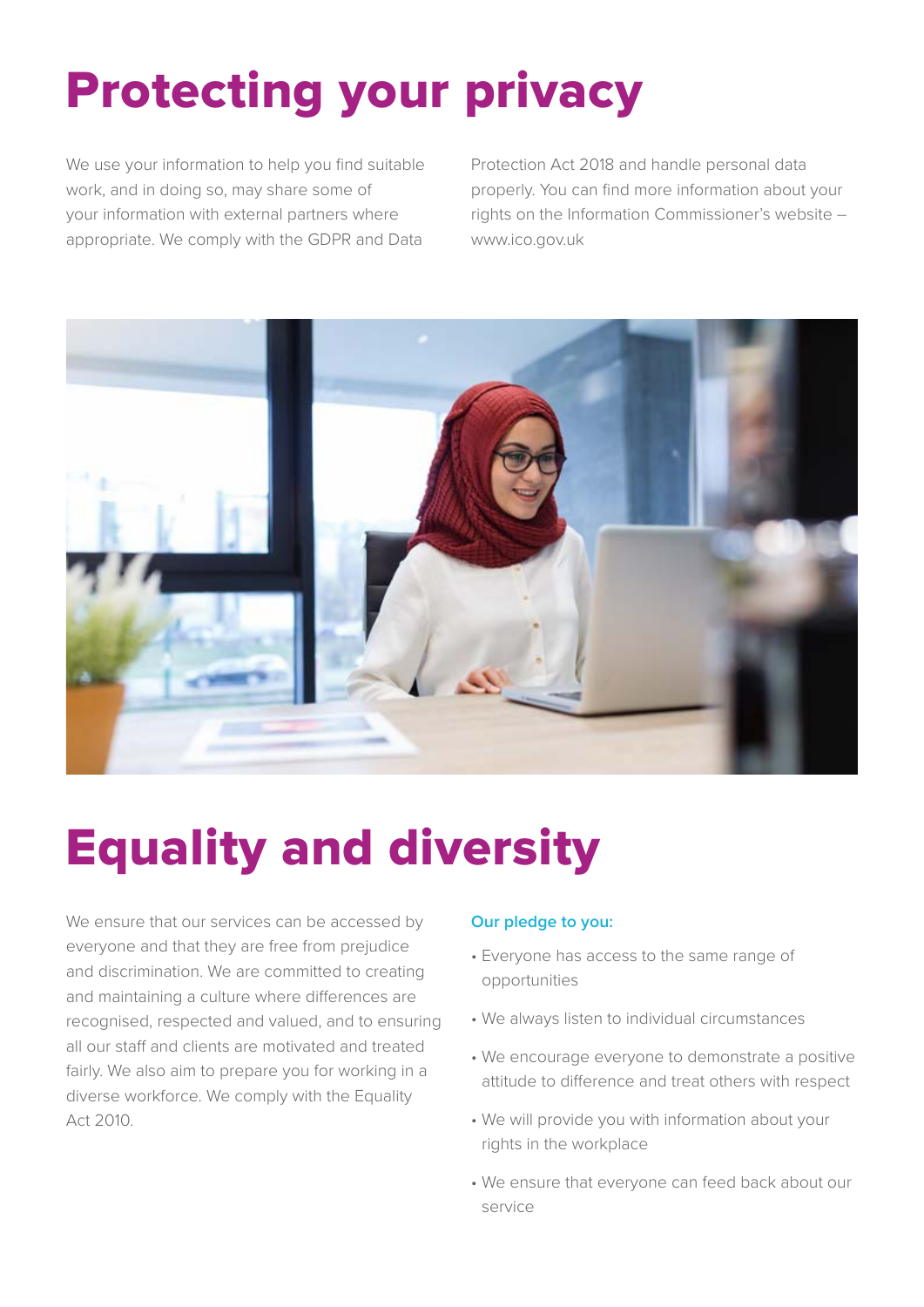# Protecting your privacy

We use your information to help you find suitable work, and in doing so, may share some of your information with external partners where appropriate. We comply with the GDPR and Data

Protection Act 2018 and handle personal data properly. You can find more information about your rights on the Information Commissioner's website – www.ico.gov.uk



## Equality and diversity

We ensure that our services can be accessed by everyone and that they are free from prejudice and discrimination. We are committed to creating and maintaining a culture where differences are recognised, respected and valued, and to ensuring all our staff and clients are motivated and treated fairly. We also aim to prepare you for working in a diverse workforce. We comply with the Equality Act 2010.

#### **Our pledge to you:**

- Everyone has access to the same range of opportunities
- We always listen to individual circumstances
- We encourage everyone to demonstrate a positive attitude to difference and treat others with respect
- We will provide you with information about your rights in the workplace
- We ensure that everyone can feed back about our service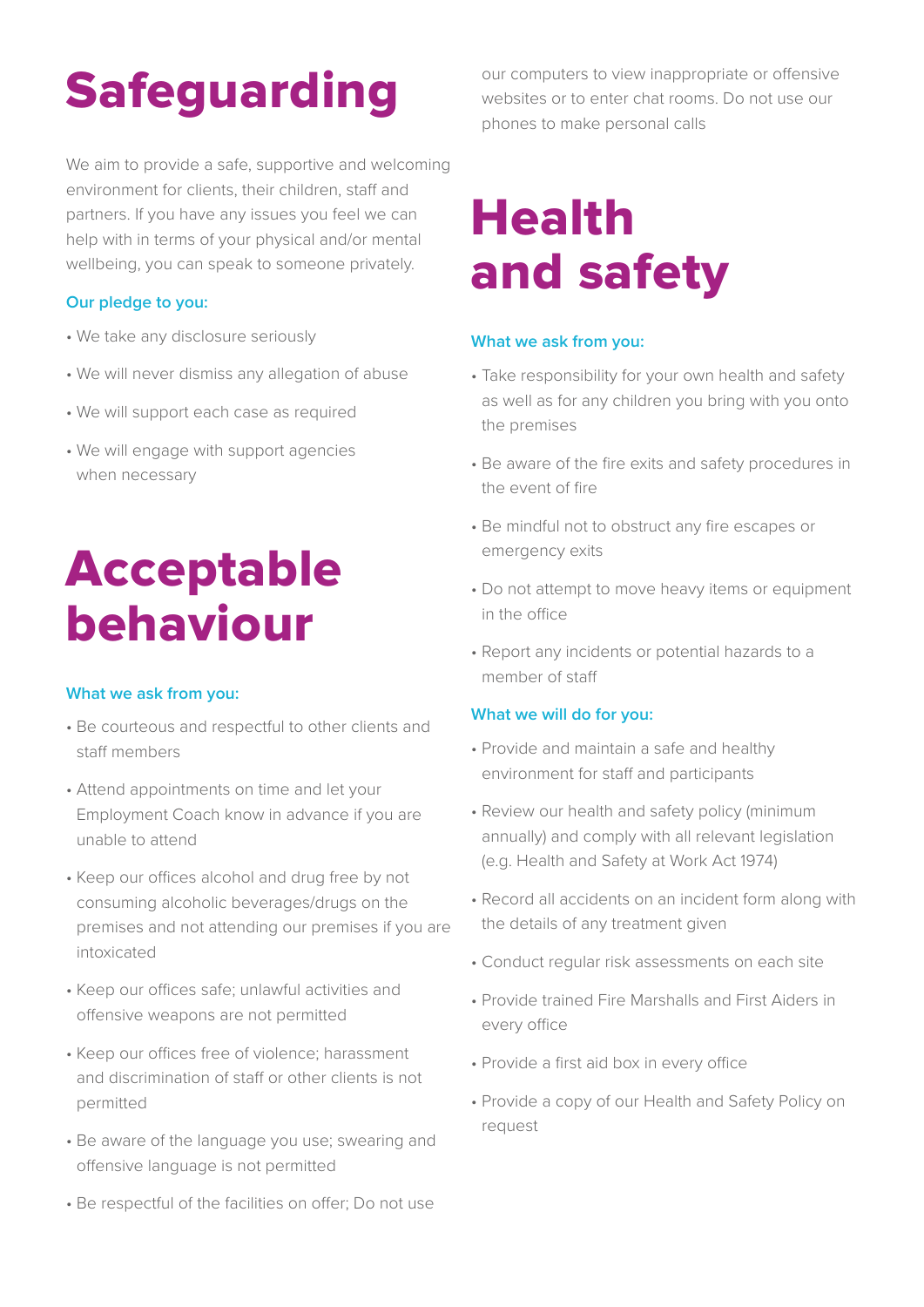# Safeguarding

We aim to provide a safe, supportive and welcoming environment for clients, their children, staff and partners. If you have any issues you feel we can help with in terms of your physical and/or mental wellbeing, you can speak to someone privately.

#### **Our pledge to you:**

- We take any disclosure seriously
- We will never dismiss any allegation of abuse
- We will support each case as required
- We will engage with support agencies when necessary

## Acceptable behaviour

#### **What we ask from you:**

- Be courteous and respectful to other clients and staff members
- Attend appointments on time and let your Employment Coach know in advance if you are unable to attend
- Keep our offices alcohol and drug free by not consuming alcoholic beverages/drugs on the premises and not attending our premises if you are intoxicated
- Keep our offices safe; unlawful activities and offensive weapons are not permitted
- Keep our offices free of violence; harassment and discrimination of staff or other clients is not permitted
- Be aware of the language you use; swearing and offensive language is not permitted
- Be respectful of the facilities on offer; Do not use

our computers to view inappropriate or offensive websites or to enter chat rooms. Do not use our phones to make personal calls

## **Health** and safety

#### **What we ask from you:**

- Take responsibility for your own health and safety as well as for any children you bring with you onto the premises
- Be aware of the fire exits and safety procedures in the event of fire
- Be mindful not to obstruct any fire escapes or emergency exits
- Do not attempt to move heavy items or equipment in the office
- Report any incidents or potential hazards to a member of staff

#### **What we will do for you:**

- Provide and maintain a safe and healthy environment for staff and participants
- Review our health and safety policy (minimum annually) and comply with all relevant legislation (e.g. Health and Safety at Work Act 1974)
- Record all accidents on an incident form along with the details of any treatment given
- Conduct regular risk assessments on each site
- Provide trained Fire Marshalls and First Aiders in every office
- Provide a first aid box in every office
- Provide a copy of our Health and Safety Policy on request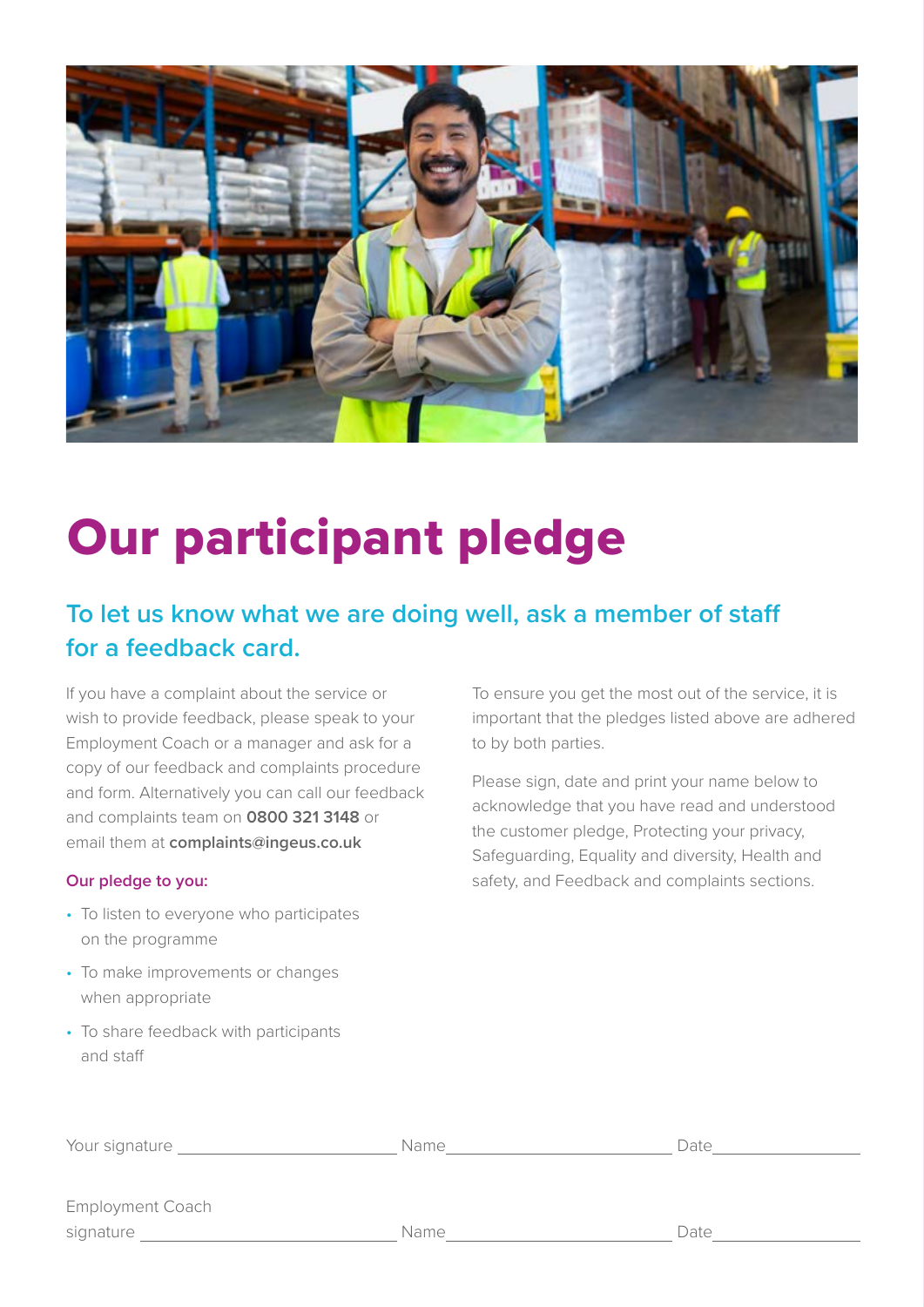

## Our participant pledge

### **To let us know what we are doing well, ask a member of staff for a feedback card.**

If you have a complaint about the service or wish to provide feedback, please speak to your Employment Coach or a manager and ask for a copy of our feedback and complaints procedure and form. Alternatively you can call our feedback and complaints team on **0800 321 3148** or email them at **complaints@ingeus.co.uk**

#### **Our pledge to you:**

- To listen to everyone who participates on the programme
- To make improvements or changes when appropriate
- To share feedback with participants and staff

To ensure you get the most out of the service, it is important that the pledges listed above are adhered to by both parties.

Please sign, date and print your name below to acknowledge that you have read and understood the customer pledge, Protecting your privacy, Safeguarding, Equality and diversity, Health and safety, and Feedback and complaints sections.

| Your signature          | Name | Date |
|-------------------------|------|------|
|                         |      |      |
|                         |      |      |
| <b>Employment Coach</b> |      |      |
| signature               | Name | Date |
|                         |      |      |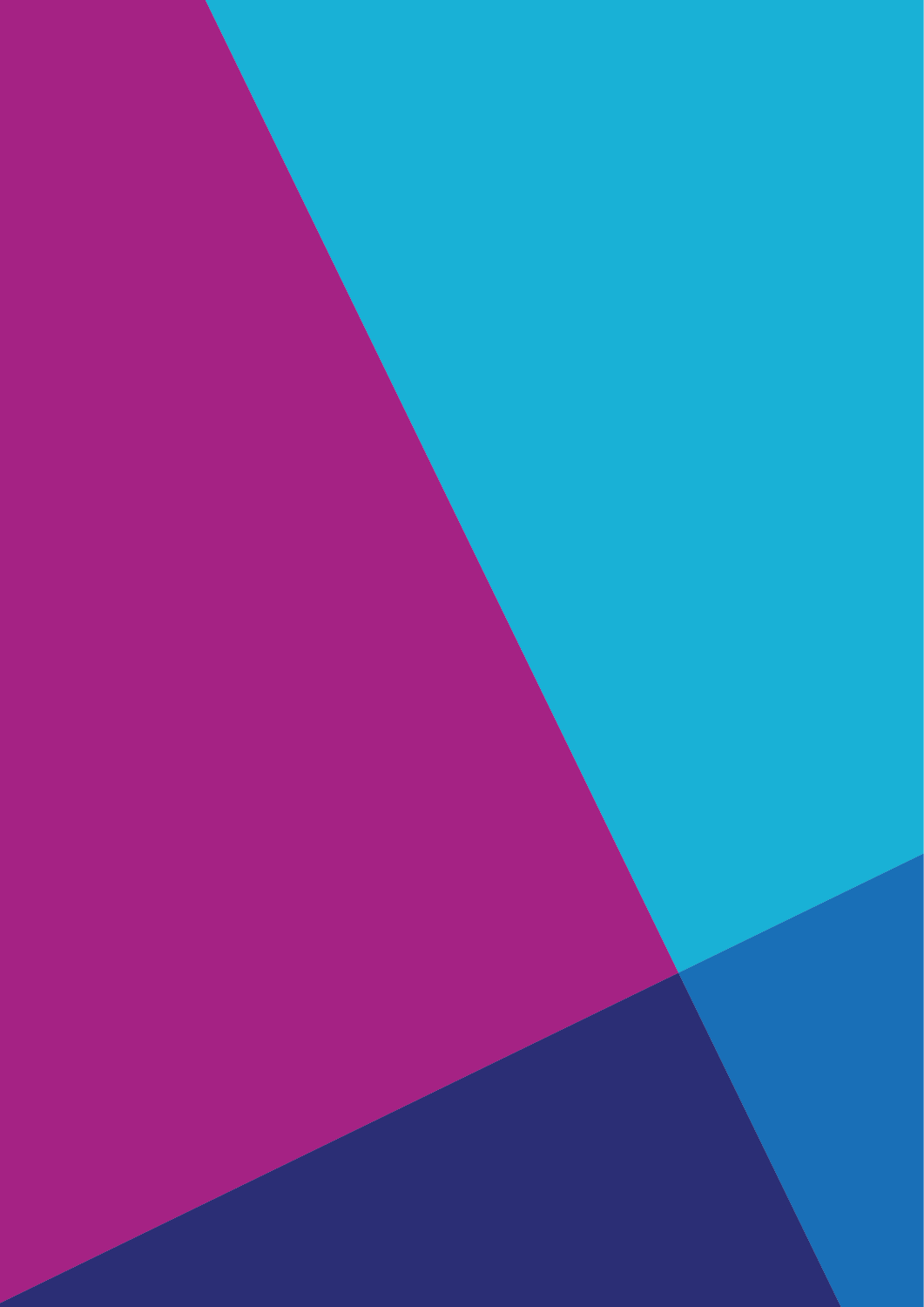